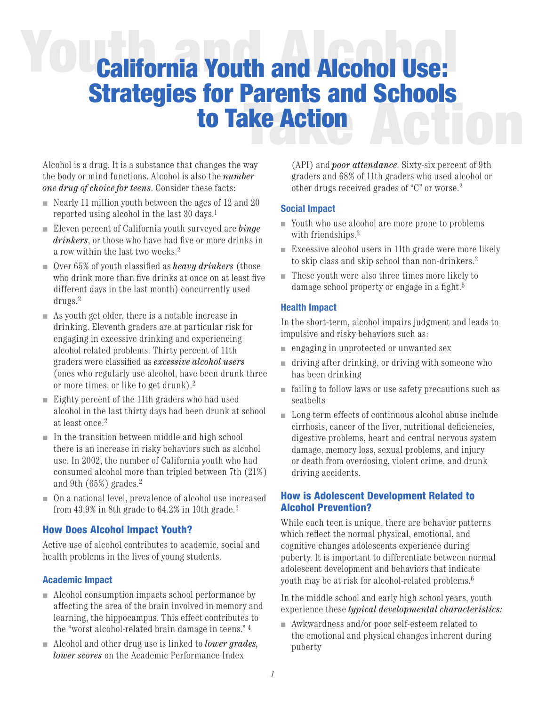# **YOU<sub>California Youth and Alcohol Use:**</sub> **Take Action** Strategies for Parents and Schools to Take Action

Alcohol is a drug. It is a substance that changes the way the body or mind functions. Alcohol is also the *number one drug of choice for teens*. Consider these facts:

- $\blacksquare$  Nearly 11 million youth between the ages of 12 and 20 reported using alcohol in the last 30 days.1
- <sup>n</sup> Eleven percent of California youth surveyed are *binge drinkers*, or those who have had five or more drinks in a row within the last two weeks.2
- Over 65% of youth classified as *heavy drinkers* (those who drink more than five drinks at once on at least five different days in the last month) concurrently used drugs.2
- $\blacksquare$  As youth get older, there is a notable increase in drinking. Eleventh graders are at particular risk for engaging in excessive drinking and experiencing alcohol related problems. Thirty percent of 11th graders were classified as *excessive alcohol users* (ones who regularly use alcohol, have been drunk three or more times, or like to get drunk).2
- $\blacksquare$  Eighty percent of the 11th graders who had used alcohol in the last thirty days had been drunk at school at least once.2
- $\blacksquare$  In the transition between middle and high school there is an increase in risky behaviors such as alcohol use. In 2002, the number of California youth who had consumed alcohol more than tripled between 7th (21%) and 9th (65%) grades.2
- <sup>n</sup> On a national level, prevalence of alcohol use increased from 43.9% in 8th grade to 64.2% in 10th grade.3

### How Does Alcohol Impact Youth?

Active use of alcohol contributes to academic, social and health problems in the lives of young students.

#### **Academic Impact**

- $\blacksquare$  Alcohol consumption impacts school performance by affecting the area of the brain involved in memory and learning, the hippocampus. This effect contributes to the "worst alcohol-related brain damage in teens." 4
- n Alcohol and other drug use is linked to *lower grades*, *lower scores* on the Academic Performance Index

(API) and *poor attendance*. Sixty-six percent of 9th graders and 68% of 11th graders who used alcohol or other drugs received grades of "C" or worse.2

#### **Social Impact**

- <sup>n</sup> Youth who use alcohol are more prone to problems with friendships.<sup>2</sup>
- $\blacksquare$  Excessive alcohol users in 11th grade were more likely to skip class and skip school than non-drinkers.2
- $\blacksquare$  These youth were also three times more likely to damage school property or engage in a fight.5

#### **Health Impact**

In the short-term, alcohol impairs judgment and leads to impulsive and risky behaviors such as:

- $\blacksquare$  engaging in unprotected or unwanted sex
- $\blacksquare$  driving after drinking, or driving with someone who has been drinking
- $\blacksquare$  failing to follow laws or use safety precautions such as seatbelts
- $\blacksquare$  Long term effects of continuous alcohol abuse include cirrhosis, cancer of the liver, nutritional deficiencies, digestive problems, heart and central nervous system damage, memory loss, sexual problems, and injury or death from overdosing, violent crime, and drunk driving accidents.

# How is Adolescent Development Related to Alcohol Prevention?

While each teen is unique, there are behavior patterns which reflect the normal physical, emotional, and cognitive changes adolescents experience during puberty. It is important to differentiate between normal adolescent development and behaviors that indicate youth may be at risk for alcohol-related problems.6

In the middle school and early high school years, youth experience these *typical developmental characteristics:*

 $\blacksquare$  Awkwardness and/or poor self-esteem related to the emotional and physical changes inherent during puberty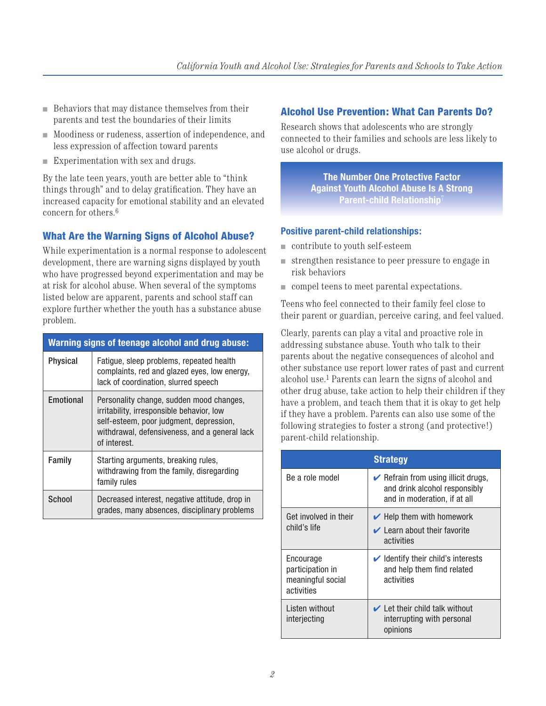- $\blacksquare$  Behaviors that may distance themselves from their parents and test the boundaries of their limits
- <sup>n</sup> Moodiness or rudeness, assertion of independence, and less expression of affection toward parents
- $\blacksquare$  Experimentation with sex and drugs.

By the late teen years, youth are better able to "think things through" and to delay gratification. They have an increased capacity for emotional stability and an elevated concern for others.6

# What Are the Warning Signs of Alcohol Abuse?

While experimentation is a normal response to adolescent development, there are warning signs displayed by youth who have progressed beyond experimentation and may be at risk for alcohol abuse. When several of the symptoms listed below are apparent, parents and school staff can explore further whether the youth has a substance abuse problem.

| Warning signs of teenage alcohol and drug abuse: |                                                                                                                                                                                                   |  |
|--------------------------------------------------|---------------------------------------------------------------------------------------------------------------------------------------------------------------------------------------------------|--|
| <b>Physical</b>                                  | Fatigue, sleep problems, repeated health<br>complaints, red and glazed eyes, low energy,<br>lack of coordination, slurred speech                                                                  |  |
| Emotional                                        | Personality change, sudden mood changes,<br>irritability, irresponsible behavior, low<br>self-esteem, poor judgment, depression,<br>withdrawal, defensiveness, and a general lack<br>of interest. |  |
| Family                                           | Starting arguments, breaking rules,<br>withdrawing from the family, disregarding<br>family rules                                                                                                  |  |
| School                                           | Decreased interest, negative attitude, drop in<br>grades, many absences, disciplinary problems                                                                                                    |  |

# Alcohol Use Prevention: What Can Parents Do?

Research shows that adolescents who are strongly connected to their families and schools are less likely to use alcohol or drugs.

> **The Number One Protective Factor Against Youth Alcohol Abuse Is A Strong Parent-child Relationship**<sup>7</sup>

# **Positive parent-child relationships:**

- $\blacksquare$  contribute to youth self-esteem
- $\blacksquare$  strengthen resistance to peer pressure to engage in risk behaviors
- compel teens to meet parental expectations.

Teens who feel connected to their family feel close to their parent or guardian, perceive caring, and feel valued.

Clearly, parents can play a vital and proactive role in addressing substance abuse. Youth who talk to their parents about the negative consequences of alcohol and other substance use report lower rates of past and current alcohol use.1 Parents can learn the signs of alcohol and other drug abuse, take action to help their children if they have a problem, and teach them that it is okay to get help if they have a problem. Parents can also use some of the following strategies to foster a strong (and protective!) parent-child relationship.

| <b>Strategy</b>                                                  |                                                                                                                     |  |
|------------------------------------------------------------------|---------------------------------------------------------------------------------------------------------------------|--|
| Be a role model                                                  | $\triangleright$ Refrain from using illicit drugs,<br>and drink alcohol responsibly<br>and in moderation, if at all |  |
| Get involved in their<br>child's life                            | $\blacktriangleright$ Help them with homework<br>$\vee$ Learn about their favorite<br>activities                    |  |
| Encourage<br>participation in<br>meaningful social<br>activities | $\blacktriangleright$ Identify their child's interests<br>and help them find related<br>activities                  |  |
| Listen without<br>interjecting                                   | $\vee$ Let their child talk without<br>interrupting with personal<br>opinions                                       |  |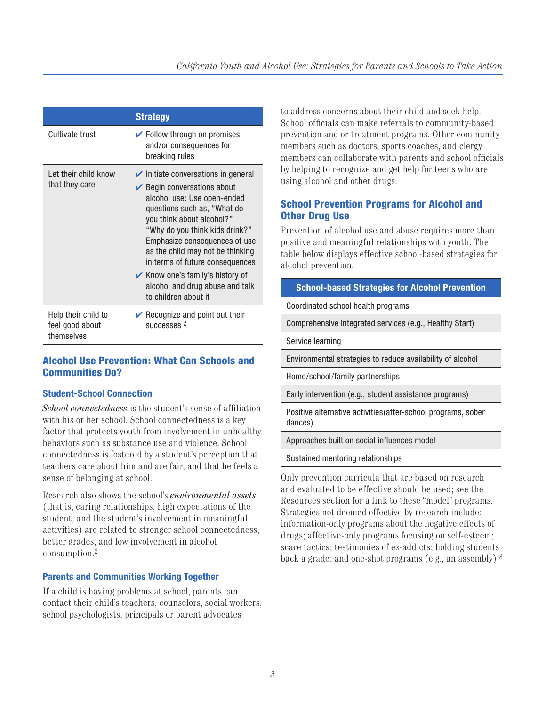| <b>Strategy</b>                                      |                                                                                                                                                                                                                                                                                                                                                                                                                                    |  |
|------------------------------------------------------|------------------------------------------------------------------------------------------------------------------------------------------------------------------------------------------------------------------------------------------------------------------------------------------------------------------------------------------------------------------------------------------------------------------------------------|--|
| Cultivate trust                                      | $\triangleright$ Follow through on promises<br>and/or consequences for<br>breaking rules                                                                                                                                                                                                                                                                                                                                           |  |
| Let their child know<br>that they care               | $\triangleright$ Initiate conversations in general<br>$\triangleright$ Begin conversations about<br>alcohol use: Use open-ended<br>questions such as, "What do<br>you think about alcohol?"<br>"Why do you think kids drink?"<br>Emphasize consequences of use<br>as the child may not be thinking<br>in terms of future consequences<br>Know one's family's history of<br>alcohol and drug abuse and talk<br>to children about it |  |
| Help their child to<br>feel good about<br>themselves | $\triangleright$ Recognize and point out their<br>successes $2$                                                                                                                                                                                                                                                                                                                                                                    |  |

# Alcohol Use Prevention: What Can Schools and Communities Do?

#### **Student-School Connection**

*School connectedness* is the student's sense of affiliation with his or her school. School connectedness is a key factor that protects youth from involvement in unhealthy behaviors such as substance use and violence. School connectedness is fostered by a student's perception that teachers care about him and are fair, and that he feels a sense of belonging at school.

Research also shows the school's *environmental assets* (that is, caring relationships, high expectations of the student, and the student's involvement in meaningful activities) are related to stronger school connectedness, better grades, and low involvement in alcohol consumption.2

# **Parents and Communities Working Together**

If a child is having problems at school, parents can contact their child's teachers, counselors, social workers, school psychologists, principals or parent advocates

to address concerns about their child and seek help. School officials can make referrals to community-based prevention and or treatment programs. Other community members such as doctors, sports coaches, and clergy members can collaborate with parents and school officials by helping to recognize and get help for teens who are using alcohol and other drugs.

# School Prevention Programs for Alcohol and Other Drug Use

Prevention of alcohol use and abuse requires more than positive and meaningful relationships with youth. The table below displays effective school-based strategies for alcohol prevention.

| <b>School-based Strategies for Alcohol Prevention</b>                    |  |
|--------------------------------------------------------------------------|--|
| Coordinated school health programs                                       |  |
| Comprehensive integrated services (e.g., Healthy Start)                  |  |
| Service learning                                                         |  |
| Environmental strategies to reduce availability of alcohol               |  |
| Home/school/family partnerships                                          |  |
| Early intervention (e.g., student assistance programs)                   |  |
| Positive alternative activities (after-school programs, sober<br>dances) |  |
| Approaches built on social influences model                              |  |
| Sustained mentoring relationships                                        |  |
|                                                                          |  |

Only prevention curricula that are based on research and evaluated to be effective should be used; see the Resources section for a link to these "model" programs. Strategies not deemed effective by research include: information-only programs about the negative effects of drugs; affective-only programs focusing on self-esteem; scare tactics; testimonies of ex-addicts; holding students back a grade; and one-shot programs (e.g., an assembly).8